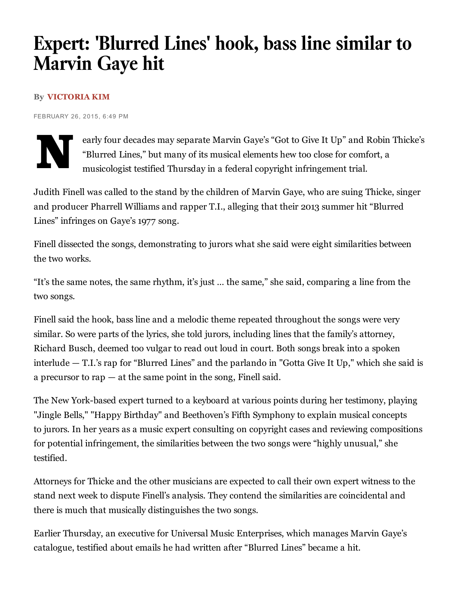## Expert: 'Blurred Lines' hook, bass line similar to Marvin Gaye hit

## By [VICTORIA](http://www.latimes.com/la-bio-victoria-kim-staff.html) KIM

FEBRUARY 26, 2015, 6:49 PM



early four decades may separate Marvin Gaye's "Got to Give It Up" and Robin Thicke's "Blurred Lines," but many of its musical elements hew too close for comfort, a musicologist testified Thursday in a federal copyright infringement trial.

Judith Finell was called to the stand by the children of Marvin Gaye, who are suing Thicke, singer and producer Pharrell Williams and rapper T.I., alleging that their 2013 summer hit "Blurred Lines" infringes on Gaye's 1977 song.

Finell dissected the songs, demonstrating to jurors what she said were eight similarities between the two works.

"It's the same notes, the same rhythm, it's just … the same," she said, comparing a line from the two songs.

Finell said the hook, bass line and a melodic theme repeated throughout the songs were very similar. So were parts of the lyrics, she told jurors, including lines that the family's attorney, Richard Busch, deemed too vulgar to read out loud in court. Both songs break into a spoken interlude — T.I.'s rap for "Blurred Lines" and the parlando in "Gotta Give It Up," which she said is a precursor to rap  $-$  at the same point in the song, Finell said.

The New York-based expert turned to a keyboard at various points during her testimony, playing "Jingle Bells," "Happy Birthday" and Beethoven's Fifth Symphony to explain musical concepts to jurors. In her years as a music expert consulting on copyright cases and reviewing compositions for potential infringement, the similarities between the two songs were "highly unusual," she testified.

Attorneys for Thicke and the other musicians are expected to call their own expert witness to the stand next week to dispute Finell's analysis. They contend the similarities are coincidental and there is much that musically distinguishes the two songs.

Earlier Thursday, an executive for Universal Music Enterprises, which manages Marvin Gaye's catalogue, testified about emails he had written after "Blurred Lines" became a hit.